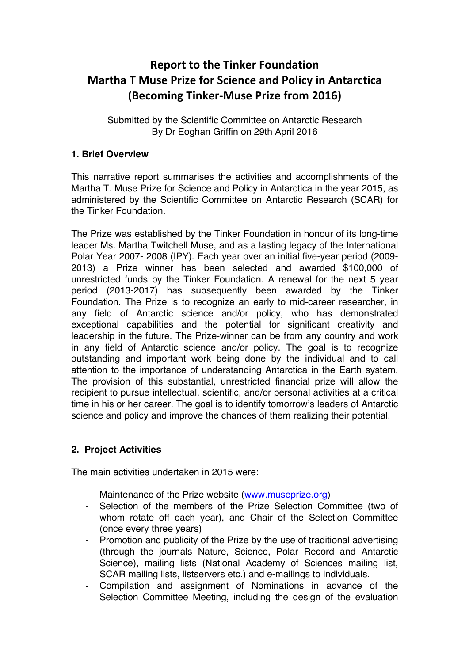# **Report to the Tinker Foundation Martha T Muse Prize for Science and Policy in Antarctica (Becoming Tinker-Muse Prize from 2016)**

Submitted by the Scientific Committee on Antarctic Research By Dr Eoghan Griffin on 29th April 2016

## **1. Brief Overview**

This narrative report summarises the activities and accomplishments of the Martha T. Muse Prize for Science and Policy in Antarctica in the year 2015, as administered by the Scientific Committee on Antarctic Research (SCAR) for the Tinker Foundation.

The Prize was established by the Tinker Foundation in honour of its long-time leader Ms. Martha Twitchell Muse, and as a lasting legacy of the International Polar Year 2007- 2008 (IPY). Each year over an initial five-year period (2009- 2013) a Prize winner has been selected and awarded \$100,000 of unrestricted funds by the Tinker Foundation. A renewal for the next 5 year period (2013-2017) has subsequently been awarded by the Tinker Foundation. The Prize is to recognize an early to mid-career researcher, in any field of Antarctic science and/or policy, who has demonstrated exceptional capabilities and the potential for significant creativity and leadership in the future. The Prize-winner can be from any country and work in any field of Antarctic science and/or policy. The goal is to recognize outstanding and important work being done by the individual and to call attention to the importance of understanding Antarctica in the Earth system. The provision of this substantial, unrestricted financial prize will allow the recipient to pursue intellectual, scientific, and/or personal activities at a critical time in his or her career. The goal is to identify tomorrow's leaders of Antarctic science and policy and improve the chances of them realizing their potential.

# **2. Project Activities**

The main activities undertaken in 2015 were:

- Maintenance of the Prize website (www.museprize.org)
- Selection of the members of the Prize Selection Committee (two of whom rotate off each year), and Chair of the Selection Committee (once every three years)
- Promotion and publicity of the Prize by the use of traditional advertising (through the journals Nature, Science, Polar Record and Antarctic Science), mailing lists (National Academy of Sciences mailing list, SCAR mailing lists, listservers etc.) and e-mailings to individuals.
- Compilation and assignment of Nominations in advance of the Selection Committee Meeting, including the design of the evaluation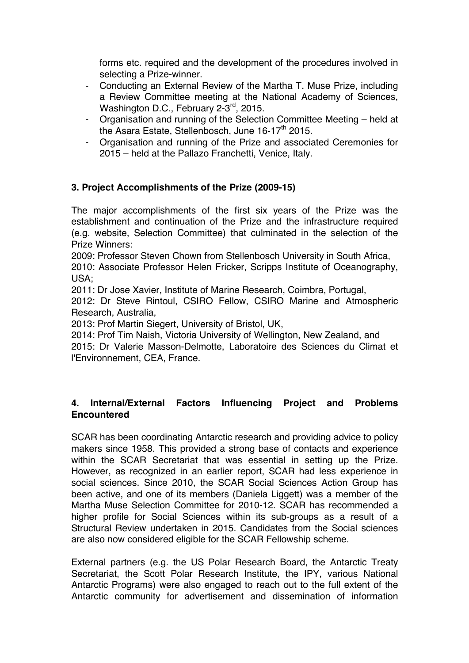forms etc. required and the development of the procedures involved in selecting a Prize-winner.

- Conducting an External Review of the Martha T. Muse Prize, including a Review Committee meeting at the National Academy of Sciences, Washington D.C., February 2-3<sup>rd</sup>, 2015.
- Organisation and running of the Selection Committee Meeting held at the Asara Estate, Stellenbosch, June  $16-17$ <sup>th</sup> 2015.
- Organisation and running of the Prize and associated Ceremonies for 2015 – held at the Pallazo Franchetti, Venice, Italy.

# **3. Project Accomplishments of the Prize (2009-15)**

The major accomplishments of the first six years of the Prize was the establishment and continuation of the Prize and the infrastructure required (e.g. website, Selection Committee) that culminated in the selection of the Prize Winners:

2009: Professor Steven Chown from Stellenbosch University in South Africa,

2010: Associate Professor Helen Fricker, Scripps Institute of Oceanography, USA;

2011: Dr Jose Xavier, Institute of Marine Research, Coimbra, Portugal,

2012: Dr Steve Rintoul, CSIRO Fellow, CSIRO Marine and Atmospheric Research, Australia,

2013: Prof Martin Siegert, University of Bristol, UK,

2014: Prof Tim Naish, Victoria University of Wellington, New Zealand, and 2015: Dr Valerie Masson-Delmotte, Laboratoire des Sciences du Climat et l'Environnement, CEA, France.

# **4. Internal/External Factors Influencing Project and Problems Encountered**

SCAR has been coordinating Antarctic research and providing advice to policy makers since 1958. This provided a strong base of contacts and experience within the SCAR Secretariat that was essential in setting up the Prize. However, as recognized in an earlier report, SCAR had less experience in social sciences. Since 2010, the SCAR Social Sciences Action Group has been active, and one of its members (Daniela Liggett) was a member of the Martha Muse Selection Committee for 2010-12. SCAR has recommended a higher profile for Social Sciences within its sub-groups as a result of a Structural Review undertaken in 2015. Candidates from the Social sciences are also now considered eligible for the SCAR Fellowship scheme.

External partners (e.g. the US Polar Research Board, the Antarctic Treaty Secretariat, the Scott Polar Research Institute, the IPY, various National Antarctic Programs) were also engaged to reach out to the full extent of the Antarctic community for advertisement and dissemination of information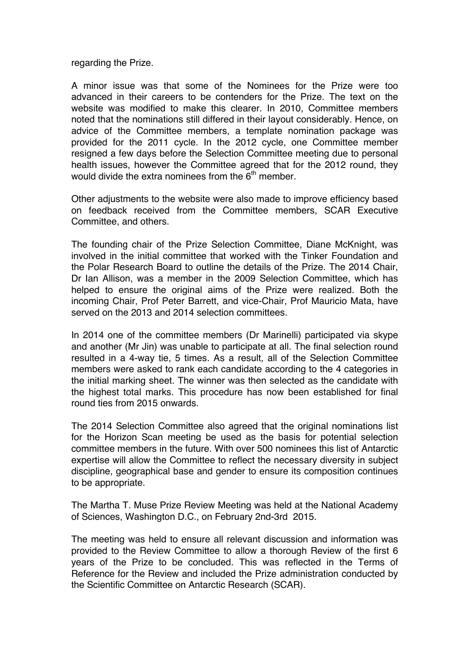regarding the Prize.

A minor issue was that some of the Nominees for the Prize were too advanced in their careers to be contenders for the Prize. The text on the website was modified to make this clearer. In 2010, Committee members noted that the nominations still differed in their layout considerably. Hence, on advice of the Committee members, a template nomination package was provided for the 2011 cycle. In the 2012 cycle, one Committee member resigned a few days before the Selection Committee meeting due to personal health issues, however the Committee agreed that for the 2012 round, they would divide the extra nominees from the  $6<sup>th</sup>$  member.

Other adjustments to the website were also made to improve efficiency based on feedback received from the Committee members, SCAR Executive Committee, and others.

The founding chair of the Prize Selection Committee, Diane McKnight, was involved in the initial committee that worked with the Tinker Foundation and the Polar Research Board to outline the details of the Prize. The 2014 Chair, Dr Ian Allison, was a member in the 2009 Selection Committee, which has helped to ensure the original aims of the Prize were realized. Both the incoming Chair, Prof Peter Barrett, and vice-Chair, Prof Mauricio Mata, have served on the 2013 and 2014 selection committees.

In 2014 one of the committee members (Dr Marinelli) participated via skype and another (Mr Jin) was unable to participate at all. The final selection round resulted in a 4-way tie, 5 times. As a result, all of the Selection Committee members were asked to rank each candidate according to the 4 categories in the initial marking sheet. The winner was then selected as the candidate with the highest total marks. This procedure has now been established for final round ties from 2015 onwards.

The 2014 Selection Committee also agreed that the original nominations list for the Horizon Scan meeting be used as the basis for potential selection committee members in the future. With over 500 nominees this list of Antarctic expertise will allow the Committee to reflect the necessary diversity in subject discipline, geographical base and gender to ensure its composition continues to be appropriate.

The Martha T. Muse Prize Review Meeting was held at the National Academy of Sciences, Washington D.C., on February 2nd-3rd 2015.

The meeting was held to ensure all relevant discussion and information was provided to the Review Committee to allow a thorough Review of the first 6 years of the Prize to be concluded. This was reflected in the Terms of Reference for the Review and included the Prize administration conducted by the Scientific Committee on Antarctic Research (SCAR).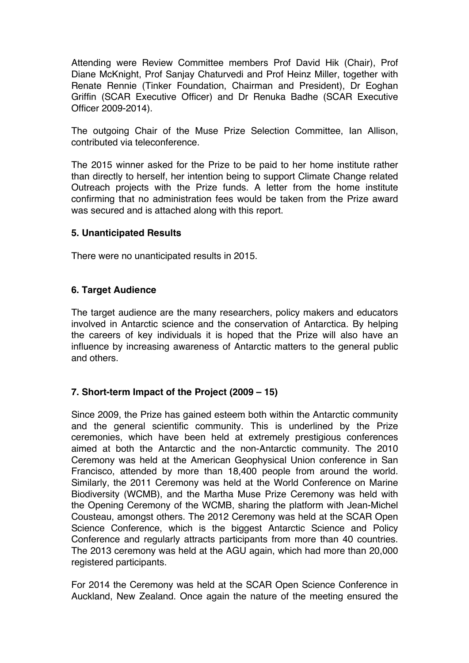Attending were Review Committee members Prof David Hik (Chair), Prof Diane McKnight, Prof Sanjay Chaturvedi and Prof Heinz Miller, together with Renate Rennie (Tinker Foundation, Chairman and President), Dr Eoghan Griffin (SCAR Executive Officer) and Dr Renuka Badhe (SCAR Executive Officer 2009-2014).

The outgoing Chair of the Muse Prize Selection Committee, Ian Allison, contributed via teleconference.

The 2015 winner asked for the Prize to be paid to her home institute rather than directly to herself, her intention being to support Climate Change related Outreach projects with the Prize funds. A letter from the home institute confirming that no administration fees would be taken from the Prize award was secured and is attached along with this report.

## **5. Unanticipated Results**

There were no unanticipated results in 2015.

## **6. Target Audience**

The target audience are the many researchers, policy makers and educators involved in Antarctic science and the conservation of Antarctica. By helping the careers of key individuals it is hoped that the Prize will also have an influence by increasing awareness of Antarctic matters to the general public and others.

# **7. Short-term Impact of the Project (2009 – 15)**

Since 2009, the Prize has gained esteem both within the Antarctic community and the general scientific community. This is underlined by the Prize ceremonies, which have been held at extremely prestigious conferences aimed at both the Antarctic and the non-Antarctic community. The 2010 Ceremony was held at the American Geophysical Union conference in San Francisco, attended by more than 18,400 people from around the world. Similarly, the 2011 Ceremony was held at the World Conference on Marine Biodiversity (WCMB), and the Martha Muse Prize Ceremony was held with the Opening Ceremony of the WCMB, sharing the platform with Jean-Michel Cousteau, amongst others. The 2012 Ceremony was held at the SCAR Open Science Conference, which is the biggest Antarctic Science and Policy Conference and regularly attracts participants from more than 40 countries. The 2013 ceremony was held at the AGU again, which had more than 20,000 registered participants.

For 2014 the Ceremony was held at the SCAR Open Science Conference in Auckland, New Zealand. Once again the nature of the meeting ensured the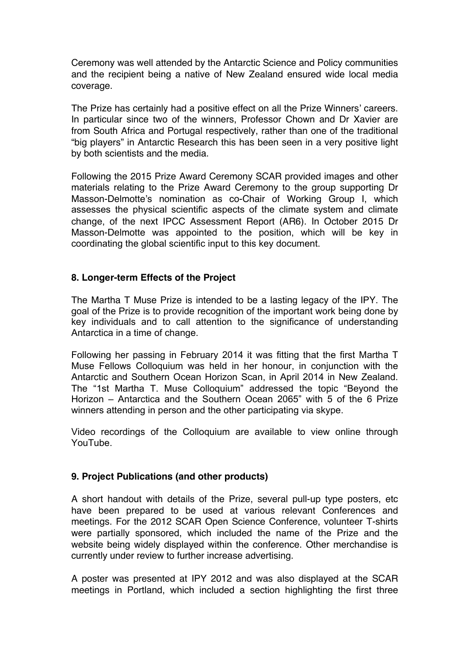Ceremony was well attended by the Antarctic Science and Policy communities and the recipient being a native of New Zealand ensured wide local media coverage.

The Prize has certainly had a positive effect on all the Prize Winners' careers. In particular since two of the winners, Professor Chown and Dr Xavier are from South Africa and Portugal respectively, rather than one of the traditional "big players" in Antarctic Research this has been seen in a very positive light by both scientists and the media.

Following the 2015 Prize Award Ceremony SCAR provided images and other materials relating to the Prize Award Ceremony to the group supporting Dr Masson-Delmotte's nomination as co-Chair of Working Group I, which assesses the physical scientific aspects of the climate system and climate change, of the next IPCC Assessment Report (AR6). In October 2015 Dr Masson-Delmotte was appointed to the position, which will be key in coordinating the global scientific input to this key document.

#### **8. Longer-term Effects of the Project**

The Martha T Muse Prize is intended to be a lasting legacy of the IPY. The goal of the Prize is to provide recognition of the important work being done by key individuals and to call attention to the significance of understanding Antarctica in a time of change.

Following her passing in February 2014 it was fitting that the first Martha T Muse Fellows Colloquium was held in her honour, in conjunction with the Antarctic and Southern Ocean Horizon Scan, in April 2014 in New Zealand. The "1st Martha T. Muse Colloquium" addressed the topic "Beyond the Horizon – Antarctica and the Southern Ocean 2065" with 5 of the 6 Prize winners attending in person and the other participating via skype.

Video recordings of the Colloquium are available to view online through YouTube.

#### **9. Project Publications (and other products)**

A short handout with details of the Prize, several pull-up type posters, etc have been prepared to be used at various relevant Conferences and meetings. For the 2012 SCAR Open Science Conference, volunteer T-shirts were partially sponsored, which included the name of the Prize and the website being widely displayed within the conference. Other merchandise is currently under review to further increase advertising.

A poster was presented at IPY 2012 and was also displayed at the SCAR meetings in Portland, which included a section highlighting the first three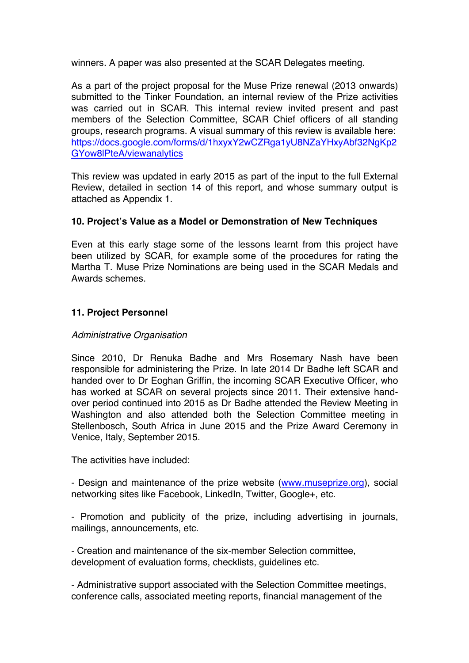winners. A paper was also presented at the SCAR Delegates meeting.

As a part of the project proposal for the Muse Prize renewal (2013 onwards) submitted to the Tinker Foundation, an internal review of the Prize activities was carried out in SCAR. This internal review invited present and past members of the Selection Committee, SCAR Chief officers of all standing groups, research programs. A visual summary of this review is available here: https://docs.google.com/forms/d/1hxyxY2wCZRga1yU8NZaYHxyAbf32NgKp2 GYow8lPteA/viewanalytics

This review was updated in early 2015 as part of the input to the full External Review, detailed in section 14 of this report, and whose summary output is attached as Appendix 1.

## **10. Project's Value as a Model or Demonstration of New Techniques**

Even at this early stage some of the lessons learnt from this project have been utilized by SCAR, for example some of the procedures for rating the Martha T. Muse Prize Nominations are being used in the SCAR Medals and Awards schemes.

# **11. Project Personnel**

#### *Administrative Organisation*

Since 2010, Dr Renuka Badhe and Mrs Rosemary Nash have been responsible for administering the Prize. In late 2014 Dr Badhe left SCAR and handed over to Dr Eoghan Griffin, the incoming SCAR Executive Officer, who has worked at SCAR on several projects since 2011. Their extensive handover period continued into 2015 as Dr Badhe attended the Review Meeting in Washington and also attended both the Selection Committee meeting in Stellenbosch, South Africa in June 2015 and the Prize Award Ceremony in Venice, Italy, September 2015.

The activities have included:

- Design and maintenance of the prize website (www.museprize.org), social networking sites like Facebook, LinkedIn, Twitter, Google+, etc.

- Promotion and publicity of the prize, including advertising in journals, mailings, announcements, etc.

- Creation and maintenance of the six-member Selection committee, development of evaluation forms, checklists, guidelines etc.

- Administrative support associated with the Selection Committee meetings, conference calls, associated meeting reports, financial management of the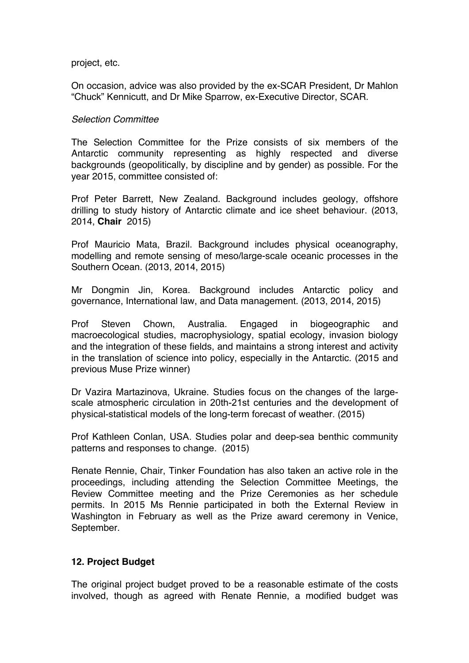project, etc.

On occasion, advice was also provided by the ex-SCAR President, Dr Mahlon "Chuck" Kennicutt, and Dr Mike Sparrow, ex-Executive Director, SCAR.

#### *Selection Committee*

The Selection Committee for the Prize consists of six members of the Antarctic community representing as highly respected and diverse backgrounds (geopolitically, by discipline and by gender) as possible. For the year 2015, committee consisted of:

Prof Peter Barrett, New Zealand. Background includes geology, offshore drilling to study history of Antarctic climate and ice sheet behaviour. (2013, 2014, **Chair** 2015)

Prof Mauricio Mata, Brazil. Background includes physical oceanography, modelling and remote sensing of meso/large-scale oceanic processes in the Southern Ocean. (2013, 2014, 2015)

Mr Dongmin Jin, Korea. Background includes Antarctic policy and governance, International law, and Data management. (2013, 2014, 2015)

Prof Steven Chown, Australia. Engaged in biogeographic and macroecological studies, macrophysiology, spatial ecology, invasion biology and the integration of these fields, and maintains a strong interest and activity in the translation of science into policy, especially in the Antarctic. (2015 and previous Muse Prize winner)

Dr Vazira Martazinova, Ukraine. Studies focus on the changes of the largescale atmospheric circulation in 20th-21st centuries and the development of physical-statistical models of the long-term forecast of weather. (2015)

Prof Kathleen Conlan, USA. Studies polar and deep-sea benthic community patterns and responses to change. (2015)

Renate Rennie, Chair, Tinker Foundation has also taken an active role in the proceedings, including attending the Selection Committee Meetings, the Review Committee meeting and the Prize Ceremonies as her schedule permits. In 2015 Ms Rennie participated in both the External Review in Washington in February as well as the Prize award ceremony in Venice, September.

#### **12. Project Budget**

The original project budget proved to be a reasonable estimate of the costs involved, though as agreed with Renate Rennie, a modified budget was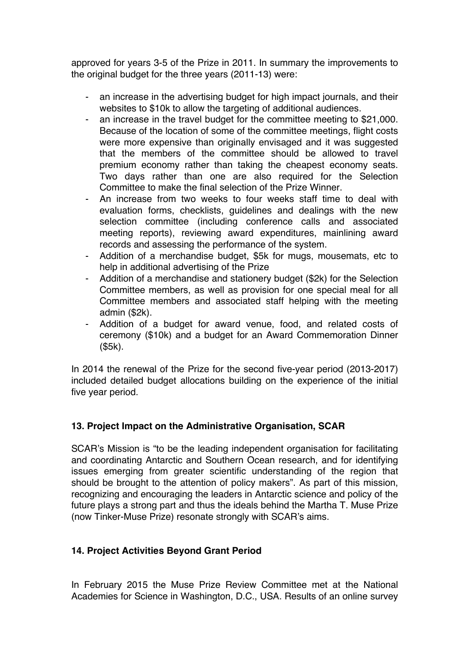approved for years 3-5 of the Prize in 2011. In summary the improvements to the original budget for the three years (2011-13) were:

- an increase in the advertising budget for high impact journals, and their websites to \$10k to allow the targeting of additional audiences.
- an increase in the travel budget for the committee meeting to \$21,000. Because of the location of some of the committee meetings, flight costs were more expensive than originally envisaged and it was suggested that the members of the committee should be allowed to travel premium economy rather than taking the cheapest economy seats. Two days rather than one are also required for the Selection Committee to make the final selection of the Prize Winner.
- An increase from two weeks to four weeks staff time to deal with evaluation forms, checklists, guidelines and dealings with the new selection committee (including conference calls and associated meeting reports), reviewing award expenditures, mainlining award records and assessing the performance of the system.
- Addition of a merchandise budget, \$5k for mugs, mousemats, etc to help in additional advertising of the Prize
- Addition of a merchandise and stationery budget (\$2k) for the Selection Committee members, as well as provision for one special meal for all Committee members and associated staff helping with the meeting admin (\$2k).
- Addition of a budget for award venue, food, and related costs of ceremony (\$10k) and a budget for an Award Commemoration Dinner (\$5k).

In 2014 the renewal of the Prize for the second five-year period (2013-2017) included detailed budget allocations building on the experience of the initial five year period.

# **13. Project Impact on the Administrative Organisation, SCAR**

SCAR's Mission is "to be the leading independent organisation for facilitating and coordinating Antarctic and Southern Ocean research, and for identifying issues emerging from greater scientific understanding of the region that should be brought to the attention of policy makers". As part of this mission, recognizing and encouraging the leaders in Antarctic science and policy of the future plays a strong part and thus the ideals behind the Martha T. Muse Prize (now Tinker-Muse Prize) resonate strongly with SCAR's aims.

# **14. Project Activities Beyond Grant Period**

In February 2015 the Muse Prize Review Committee met at the National Academies for Science in Washington, D.C., USA. Results of an online survey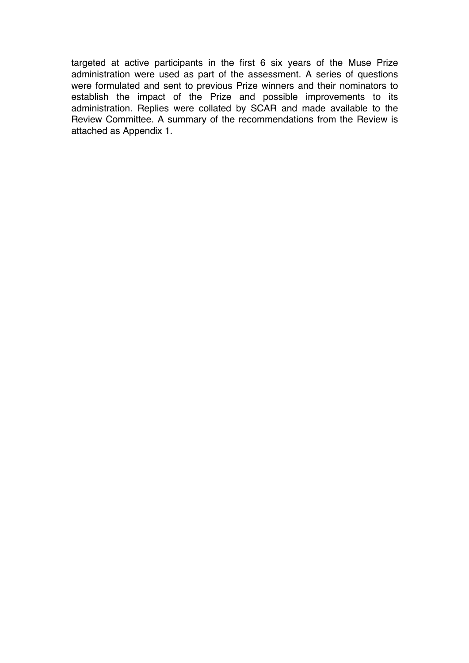targeted at active participants in the first 6 six years of the Muse Prize administration were used as part of the assessment. A series of questions were formulated and sent to previous Prize winners and their nominators to establish the impact of the Prize and possible improvements to its administration. Replies were collated by SCAR and made available to the Review Committee. A summary of the recommendations from the Review is attached as Appendix 1.